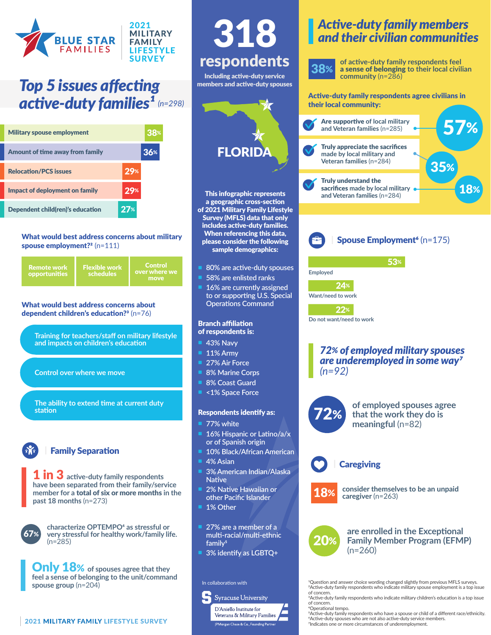

# *Top 5 issues affecting active-duty families<sup>1</sup> (n=298)*

| <b>Military spouse employment</b> | 38% |
|-----------------------------------|-----|
| Amount of time away from family   | 36% |
| <b>Relocation/PCS issues</b>      | 29% |
| Impact of deployment on family    | 29% |
| Dependent child(ren)'s education  |     |

#### What would best address concerns about military spouse employment?<sup>2</sup> (n=111)



#### What would best address concerns about dependent children's education?<sup>3</sup> (n=76)

**Training for teachers/staff on military lifestyle and impacts on children's education**

**Control over where we move**

**The ability to extend time at current duty station**

### | Family Separation

1 in 3 **active-duty family respondents have been separated from their family/service member for a** total of six or more months **in the past 18 months** (n=273)



**characterize OPTEMPO4 as stressful or very stressful for healthy work/family life.**  (n=285)

Only 18% **of spouses agree that they feel a sense of belonging to the unit/command spouse group** (n=204)

#### This infographic represents a geographic cross-section of 2021 Military Family Lifestyle Survey (MFLS) data that only includes active-duty families. When referencing this data, please consider the following sample demographics: 38% **Employed Want/need to work** 24% 22% *(n=92)* respondents Including active-duty service members and active-duty spouses 318 In collaboration with n **80% are active-duty spouses** n **58% are enlisted ranks** 16% are currently assigned **to or supporting U.S. Special Operations Command** Branch affiliation of respondents is: **43% Navy** n **11% Army 27% Air Force 8% Marine Corps 8% Coast Guard** n **<1% Space Force** Respondents identify as: **77% white** 16% Hispanic or Latino/a/x **or of Spanish origin 10% Black/African American 4% Asian** n **3% American Indian/Alaska Native 2% Native Hawaiian or other Pacific Islander** 1% Other n **27% are a member of a multi-racial/multi-ethnic family5** n **3% identify as LGBTQ+ FLORID** 72% 20%

## *Active-duty family members and their civilian communities*

**of active-duty family respondents feel**  a sense of belonging **to their local civilian community** (n=286)

Active-duty family respondents agree civilians in their local community:





53%

**Do not want/need to work**

# *72% of employed military spouses are underemployed in some way7*



## **Caregiving**

**consider themselves to be an unpaid caregiver** (n=263)

**are enrolled in the Exceptional Family Member Program (EFMP)**   $(n=260)$ 

1Question and answer choice wording changed slightly from previous MFLS surveys. 2Active-duty family respondents who indicate military spouse employment is a top issue of concern.

3Active-duty family respondents who indicate military children's education is a top issue of concern.

4Operational tempo.

**Syracuse University** D'Aniello Institute for Veterans & Military Families

|<br>PMorgan Chase & Co., Founding Partne

5Active-duty family respondents who have a spouse or child of a different race/ethnicity. 6Active-duty spouses who are not also active-duty service members. <sup>7</sup>Indicates one or more circumstances of underemployment.